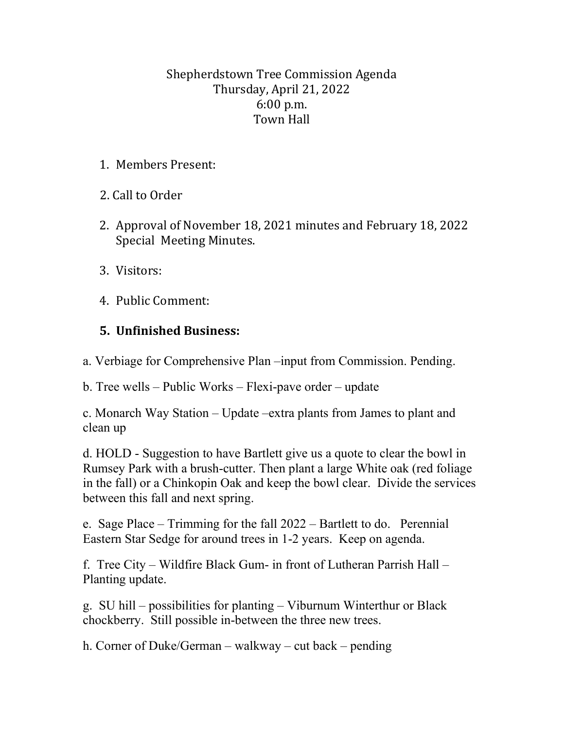## Shepherdstown Tree Commission Agenda Thursday, April 21, 2022 6:00 p.m. Town Hall

1. Members Present:

2. Call to Order

- 2. Approval of November 18, 2021 minutes and February 18, 2022 Special Meeting Minutes.
- 3. Visitors:
- 4. Public Comment:

## **5. Unfinished Business:**

a. Verbiage for Comprehensive Plan –input from Commission. Pending.

b. Tree wells – Public Works – Flexi-pave order – update

c. Monarch Way Station – Update –extra plants from James to plant and clean up

d. HOLD - Suggestion to have Bartlett give us a quote to clear the bowl in Rumsey Park with a brush-cutter. Then plant a large White oak (red foliage in the fall) or a Chinkopin Oak and keep the bowl clear. Divide the services between this fall and next spring.

e. Sage Place – Trimming for the fall 2022 – Bartlett to do. Perennial Eastern Star Sedge for around trees in 1-2 years. Keep on agenda.

f. Tree City – Wildfire Black Gum- in front of Lutheran Parrish Hall – Planting update.

g. SU hill – possibilities for planting – Viburnum Winterthur or Black chockberry. Still possible in-between the three new trees.

h. Corner of Duke/German – walkway – cut back – pending